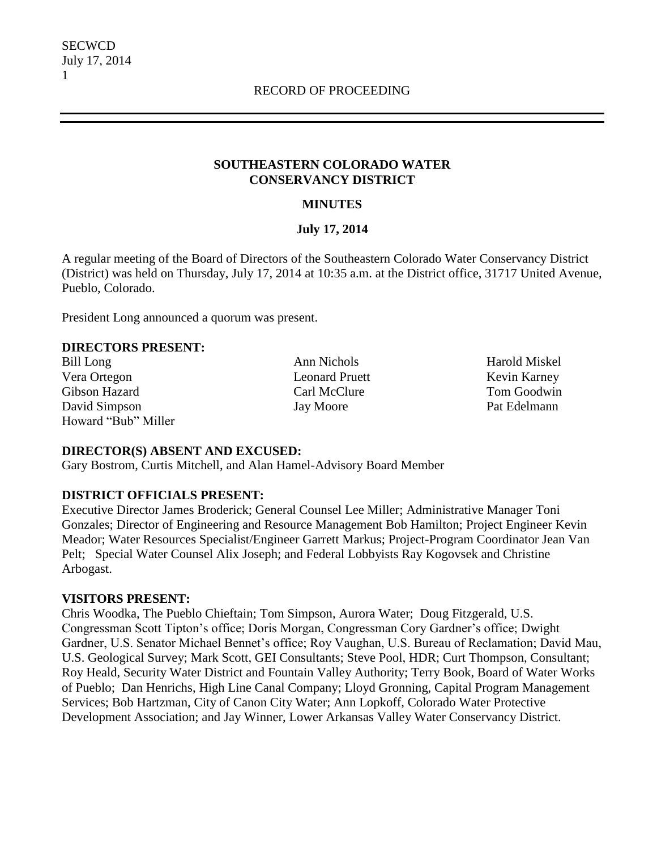#### **SOUTHEASTERN COLORADO WATER CONSERVANCY DISTRICT**

### **MINUTES**

#### **July 17, 2014**

A regular meeting of the Board of Directors of the Southeastern Colorado Water Conservancy District (District) was held on Thursday, July 17, 2014 at 10:35 a.m. at the District office, 31717 United Avenue, Pueblo, Colorado.

President Long announced a quorum was present.

#### **DIRECTORS PRESENT:**

Bill Long Ann Nichols Ann Nichols Harold Miskel Vera Ortegon Leonard Pruett Kevin Karney Gibson Hazard Carl McClure Tom Goodwin David Simpson Jay Moore Pat Edelmann Howard "Bub" Miller

#### **DIRECTOR(S) ABSENT AND EXCUSED:**

Gary Bostrom, Curtis Mitchell, and Alan Hamel-Advisory Board Member

## **DISTRICT OFFICIALS PRESENT:**

Executive Director James Broderick; General Counsel Lee Miller; Administrative Manager Toni Gonzales; Director of Engineering and Resource Management Bob Hamilton; Project Engineer Kevin Meador; Water Resources Specialist/Engineer Garrett Markus; Project-Program Coordinator Jean Van Pelt; Special Water Counsel Alix Joseph; and Federal Lobbyists Ray Kogovsek and Christine Arbogast.

#### **VISITORS PRESENT:**

Chris Woodka, The Pueblo Chieftain; Tom Simpson, Aurora Water; Doug Fitzgerald, U.S. Congressman Scott Tipton's office; Doris Morgan, Congressman Cory Gardner's office; Dwight Gardner, U.S. Senator Michael Bennet's office; Roy Vaughan, U.S. Bureau of Reclamation; David Mau, U.S. Geological Survey; Mark Scott, GEI Consultants; Steve Pool, HDR; Curt Thompson, Consultant; Roy Heald, Security Water District and Fountain Valley Authority; Terry Book, Board of Water Works of Pueblo; Dan Henrichs, High Line Canal Company; Lloyd Gronning, Capital Program Management Services; Bob Hartzman, City of Canon City Water; Ann Lopkoff, Colorado Water Protective Development Association; and Jay Winner, Lower Arkansas Valley Water Conservancy District.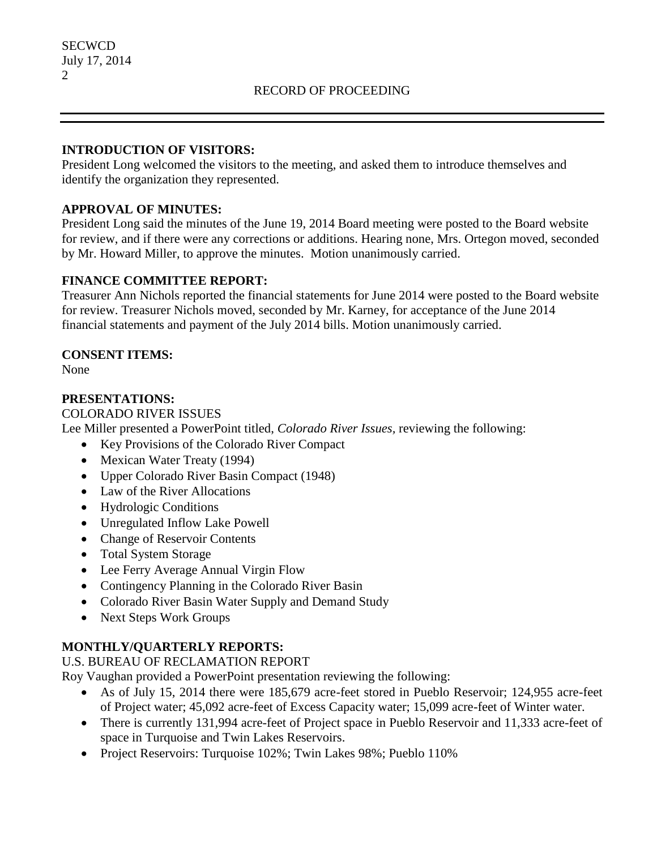#### **INTRODUCTION OF VISITORS:**

President Long welcomed the visitors to the meeting, and asked them to introduce themselves and identify the organization they represented.

## **APPROVAL OF MINUTES:**

President Long said the minutes of the June 19, 2014 Board meeting were posted to the Board website for review, and if there were any corrections or additions. Hearing none, Mrs. Ortegon moved, seconded by Mr. Howard Miller, to approve the minutes. Motion unanimously carried.

## **FINANCE COMMITTEE REPORT:**

Treasurer Ann Nichols reported the financial statements for June 2014 were posted to the Board website for review. Treasurer Nichols moved, seconded by Mr. Karney, for acceptance of the June 2014 financial statements and payment of the July 2014 bills. Motion unanimously carried.

## **CONSENT ITEMS:**

None

## **PRESENTATIONS:**

#### COLORADO RIVER ISSUES

Lee Miller presented a PowerPoint titled, *Colorado River Issues,* reviewing the following:

- Key Provisions of the Colorado River Compact
- Mexican Water Treaty (1994)
- Upper Colorado River Basin Compact (1948)
- Law of the River Allocations
- Hydrologic Conditions
- Unregulated Inflow Lake Powell
- Change of Reservoir Contents
- Total System Storage
- Lee Ferry Average Annual Virgin Flow
- Contingency Planning in the Colorado River Basin
- Colorado River Basin Water Supply and Demand Study
- Next Steps Work Groups

# **MONTHLY/QUARTERLY REPORTS:**

U.S. BUREAU OF RECLAMATION REPORT

Roy Vaughan provided a PowerPoint presentation reviewing the following:

- As of July 15, 2014 there were 185,679 acre-feet stored in Pueblo Reservoir; 124,955 acre-feet of Project water; 45,092 acre-feet of Excess Capacity water; 15,099 acre-feet of Winter water.
- There is currently 131,994 acre-feet of Project space in Pueblo Reservoir and 11,333 acre-feet of space in Turquoise and Twin Lakes Reservoirs.
- Project Reservoirs: Turquoise 102%; Twin Lakes 98%; Pueblo 110%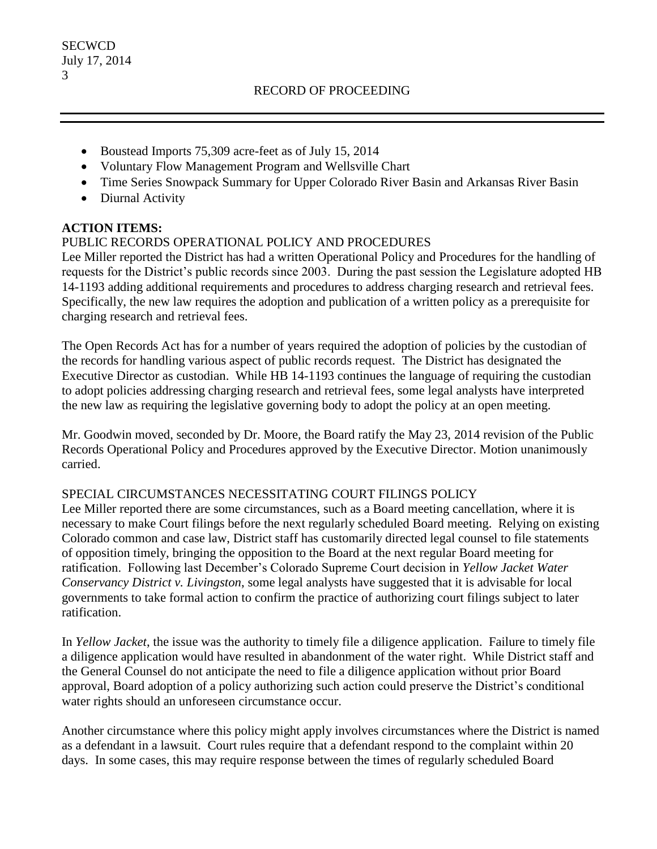- Boustead Imports 75,309 acre-feet as of July 15, 2014
- Voluntary Flow Management Program and Wellsville Chart
- Time Series Snowpack Summary for Upper Colorado River Basin and Arkansas River Basin
- Diurnal Activity

# **ACTION ITEMS:**

## PUBLIC RECORDS OPERATIONAL POLICY AND PROCEDURES

Lee Miller reported the District has had a written Operational Policy and Procedures for the handling of requests for the District's public records since 2003. During the past session the Legislature adopted HB 14-1193 adding additional requirements and procedures to address charging research and retrieval fees. Specifically, the new law requires the adoption and publication of a written policy as a prerequisite for charging research and retrieval fees.

The Open Records Act has for a number of years required the adoption of policies by the custodian of the records for handling various aspect of public records request. The District has designated the Executive Director as custodian. While HB 14-1193 continues the language of requiring the custodian to adopt policies addressing charging research and retrieval fees, some legal analysts have interpreted the new law as requiring the legislative governing body to adopt the policy at an open meeting.

Mr. Goodwin moved, seconded by Dr. Moore, the Board ratify the May 23, 2014 revision of the Public Records Operational Policy and Procedures approved by the Executive Director. Motion unanimously carried.

## SPECIAL CIRCUMSTANCES NECESSITATING COURT FILINGS POLICY

Lee Miller reported there are some circumstances, such as a Board meeting cancellation, where it is necessary to make Court filings before the next regularly scheduled Board meeting. Relying on existing Colorado common and case law, District staff has customarily directed legal counsel to file statements of opposition timely, bringing the opposition to the Board at the next regular Board meeting for ratification. Following last December's Colorado Supreme Court decision in *Yellow Jacket Water Conservancy District v. Livingston*, some legal analysts have suggested that it is advisable for local governments to take formal action to confirm the practice of authorizing court filings subject to later ratification.

In *Yellow Jacket*, the issue was the authority to timely file a diligence application. Failure to timely file a diligence application would have resulted in abandonment of the water right. While District staff and the General Counsel do not anticipate the need to file a diligence application without prior Board approval, Board adoption of a policy authorizing such action could preserve the District's conditional water rights should an unforeseen circumstance occur.

Another circumstance where this policy might apply involves circumstances where the District is named as a defendant in a lawsuit. Court rules require that a defendant respond to the complaint within 20 days. In some cases, this may require response between the times of regularly scheduled Board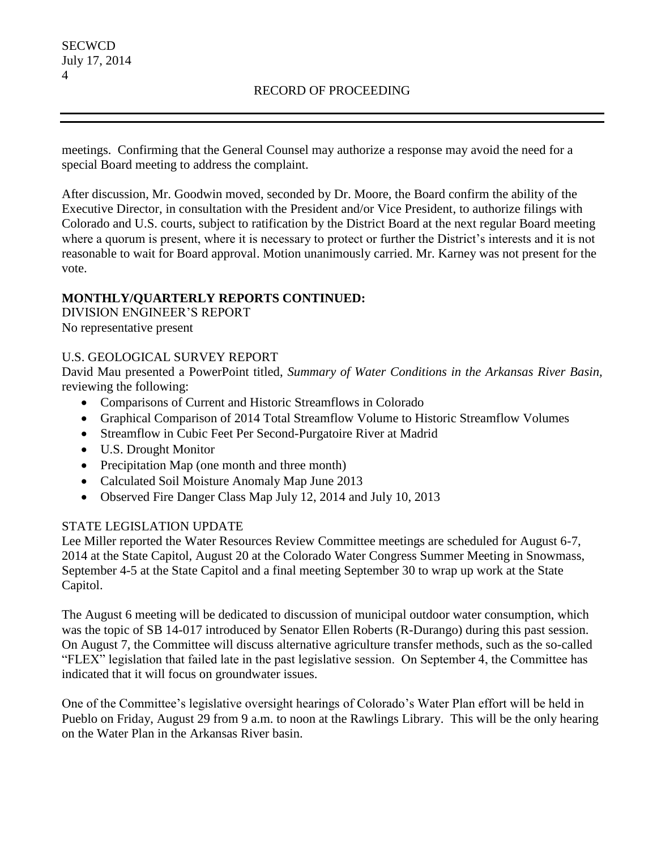meetings. Confirming that the General Counsel may authorize a response may avoid the need for a special Board meeting to address the complaint.

After discussion, Mr. Goodwin moved, seconded by Dr. Moore, the Board confirm the ability of the Executive Director, in consultation with the President and/or Vice President, to authorize filings with Colorado and U.S. courts, subject to ratification by the District Board at the next regular Board meeting where a quorum is present, where it is necessary to protect or further the District's interests and it is not reasonable to wait for Board approval. Motion unanimously carried. Mr. Karney was not present for the vote.

## **MONTHLY/QUARTERLY REPORTS CONTINUED:**

DIVISION ENGINEER'S REPORT No representative present

## U.S. GEOLOGICAL SURVEY REPORT

David Mau presented a PowerPoint titled, *Summary of Water Conditions in the Arkansas River Basin,* reviewing the following:

- Comparisons of Current and Historic Streamflows in Colorado
- Graphical Comparison of 2014 Total Streamflow Volume to Historic Streamflow Volumes
- Streamflow in Cubic Feet Per Second-Purgatoire River at Madrid
- U.S. Drought Monitor
- Precipitation Map (one month and three month)
- Calculated Soil Moisture Anomaly Map June 2013
- Observed Fire Danger Class Map July 12, 2014 and July 10, 2013

## STATE LEGISLATION UPDATE

Lee Miller reported the Water Resources Review Committee meetings are scheduled for August 6-7, 2014 at the State Capitol, August 20 at the Colorado Water Congress Summer Meeting in Snowmass, September 4-5 at the State Capitol and a final meeting September 30 to wrap up work at the State Capitol.

The August 6 meeting will be dedicated to discussion of municipal outdoor water consumption, which was the topic of SB 14-017 introduced by Senator Ellen Roberts (R-Durango) during this past session. On August 7, the Committee will discuss alternative agriculture transfer methods, such as the so-called "FLEX" legislation that failed late in the past legislative session. On September 4, the Committee has indicated that it will focus on groundwater issues.

One of the Committee's legislative oversight hearings of Colorado's Water Plan effort will be held in Pueblo on Friday, August 29 from 9 a.m. to noon at the Rawlings Library. This will be the only hearing on the Water Plan in the Arkansas River basin.